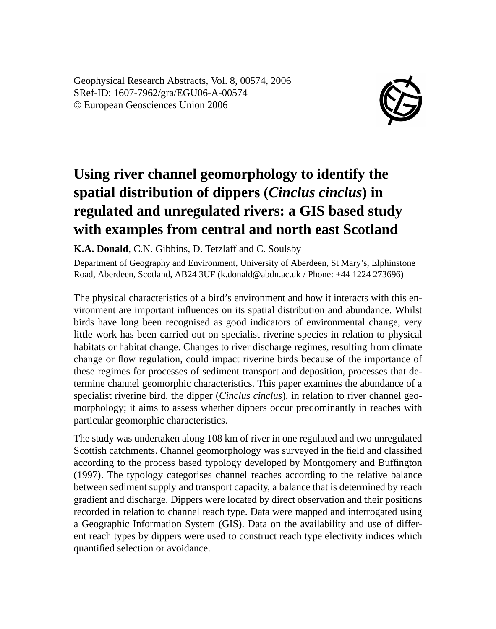Geophysical Research Abstracts, Vol. 8, 00574, 2006 SRef-ID: 1607-7962/gra/EGU06-A-00574 © European Geosciences Union 2006



## **Using river channel geomorphology to identify the spatial distribution of dippers (***Cinclus cinclus***) in regulated and unregulated rivers: a GIS based study with examples from central and north east Scotland**

**K.A. Donald**, C.N. Gibbins, D. Tetzlaff and C. Soulsby

Department of Geography and Environment, University of Aberdeen, St Mary's, Elphinstone Road, Aberdeen, Scotland, AB24 3UF (k.donald@abdn.ac.uk / Phone: +44 1224 273696)

The physical characteristics of a bird's environment and how it interacts with this environment are important influences on its spatial distribution and abundance. Whilst birds have long been recognised as good indicators of environmental change, very little work has been carried out on specialist riverine species in relation to physical habitats or habitat change. Changes to river discharge regimes, resulting from climate change or flow regulation, could impact riverine birds because of the importance of these regimes for processes of sediment transport and deposition, processes that determine channel geomorphic characteristics. This paper examines the abundance of a specialist riverine bird, the dipper (*Cinclus cinclus*), in relation to river channel geomorphology; it aims to assess whether dippers occur predominantly in reaches with particular geomorphic characteristics.

The study was undertaken along 108 km of river in one regulated and two unregulated Scottish catchments. Channel geomorphology was surveyed in the field and classified according to the process based typology developed by Montgomery and Buffington (1997). The typology categorises channel reaches according to the relative balance between sediment supply and transport capacity, a balance that is determined by reach gradient and discharge. Dippers were located by direct observation and their positions recorded in relation to channel reach type. Data were mapped and interrogated using a Geographic Information System (GIS). Data on the availability and use of different reach types by dippers were used to construct reach type electivity indices which quantified selection or avoidance.